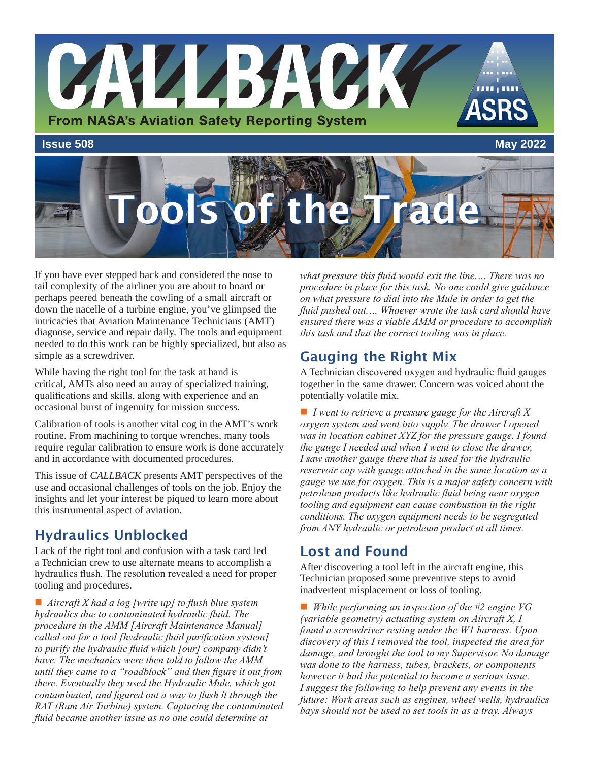

ools of the Trad

If you have ever stepped back and considered the nose to tail complexity of the airliner you are about to board or perhaps peered beneath the cowling of a small aircraft or down the nacelle of a turbine engine, you've glimpsed the intricacies that Aviation Maintenance Technicians (AMT) diagnose, service and repair daily. The tools and equipment needed to do this work can be highly specialized, but also as simple as a screwdriver.

While having the right tool for the task at hand is critical, AMTs also need an array of specialized training, qualifications and skills, along with experience and an occasional burst of ingenuity for mission success.

Calibration of tools is another vital cog in the AMT's work routine. From machining to torque wrenches, many tools require regular calibration to ensure work is done accurately and in accordance with documented procedures.

This issue of *CALLBACK* presents AMT perspectives of the use and occasional challenges of tools on the job. Enjoy the insights and let your interest be piqued to learn more about this instrumental aspect of aviation.

# Hydraulics Unblocked

Lack of the right tool and confusion with a task card led a Technician crew to use alternate means to accomplish a hydraulics flush. The resolution revealed a need for proper tooling and procedures.

■ *Aircraft X had a log [write up] to flush blue system hydraulics due to contaminated hydraulic fluid. The procedure in the AMM [Aircraft Maintenance Manual] called out for a tool [hydraulic fluid purification system] to purify the hydraulic fluid which [our] company didn't have. The mechanics were then told to follow the AMM until they came to a "roadblock" and then figure it out from there. Eventually they used the Hydraulic Mule, which got contaminated, and figured out a way to flush it through the RAT (Ram Air Turbine) system. Capturing the contaminated fluid became another issue as no one could determine at* 

*what pressure this fluid would exit the line.… There was no procedure in place for this task. No one could give guidance on what pressure to dial into the Mule in order to get the fluid pushed out.… Whoever wrote the task card should have ensured there was a viable AMM or procedure to accomplish this task and that the correct tooling was in place.*

# Gauging the Right Mix

A Technician discovered oxygen and hydraulic fluid gauges together in the same drawer. Concern was voiced about the potentially volatile mix.

■ *I went to retrieve a pressure gauge for the Aircraft X oxygen system and went into supply. The drawer I opened was in location cabinet XYZ for the pressure gauge. I found the gauge I needed and when I went to close the drawer, I saw another gauge there that is used for the hydraulic reservoir cap with gauge attached in the same location as a gauge we use for oxygen. This is a major safety concern with petroleum products like hydraulic fluid being near oxygen tooling and equipment can cause combustion in the right conditions. The oxygen equipment needs to be segregated from ANY hydraulic or petroleum product at all times.*

### Lost and Found

After discovering a tool left in the aircraft engine, this Technician proposed some preventive steps to avoid inadvertent misplacement or loss of tooling.

■ *While performing an inspection of the #2 engine VG (variable geometry) actuating system on Aircraft X, I found a screwdriver resting under the W1 harness. Upon discovery of this I removed the tool, inspected the area for damage, and brought the tool to my Supervisor. No damage was done to the harness, tubes, brackets, or components however it had the potential to become a serious issue. I suggest the following to help prevent any events in the future: Work areas such as engines, wheel wells, hydraulics bays should not be used to set tools in as a tray. Always*